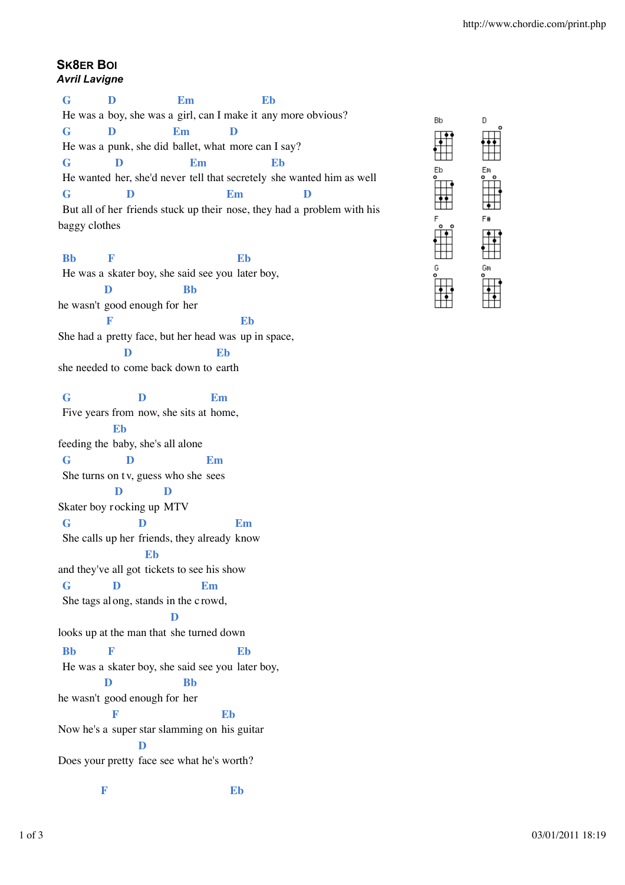## **SK8ER BOI** *Avril Lavigne*

**G D Em Eb** He was a boy, she was a girl, can I make it any more obvious? **G D Em D** He was a punk, she did ballet, what more can I say? **G D Em Eb** He wanted her, she'd never tell that secretely she wanted him as well **G D Em D** But all of her friends stuck up their nose, they had a problem with his baggy clothes

**Bb F Eb** He was a skater boy, she said see you later boy, **D Bb** he wasn't good enough for her **F Eb** She had a pretty face, but her head was up in space, **D Eb** she needed to come back down to earth

**G D Em** Five years from now, she sits at home, **Eb** feeding the baby, she's all alone **G D Em** She turns on tv, guess who she sees **D D** Skater boy rocking up MTV **G D Em** She calls up her friends, they already know **Eb** and they've all got tickets to see his show **G D Em** She tags along, stands in the c rowd, **D** looks up at the man that she turned down **Bb F Eb** He was a skater boy, she said see you later boy, **D Bb** he wasn't good enough for her **F Eb** Now he's a super star slamming on his guitar **D** Does your pretty face see what he's worth?

**F Eb**

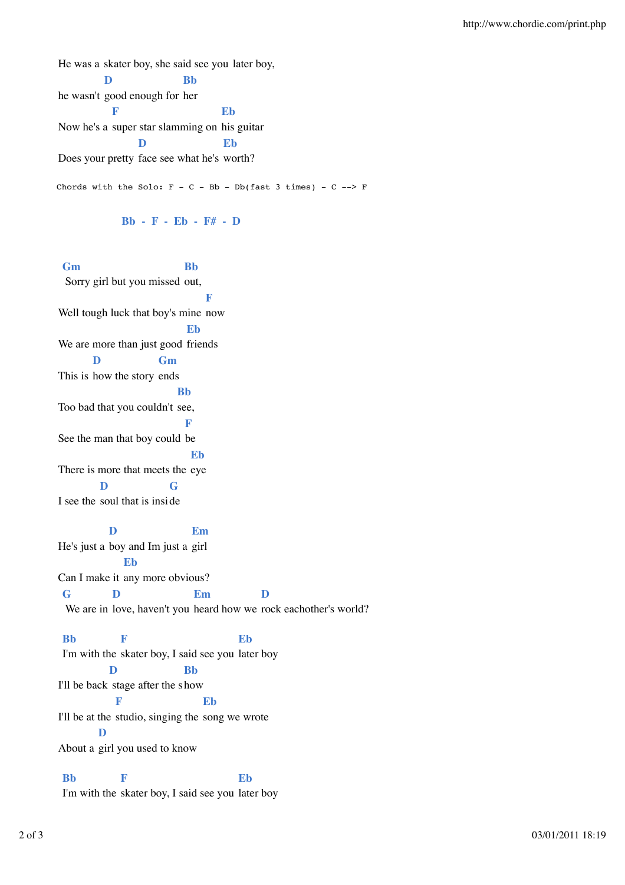He was a skater boy, she said see you later boy, **D Bb** he wasn't good enough for her **F Eb** Now he's a super star slamming on his guitar **D Eb** Does your pretty face see what he's worth? Chords with the Solo:  $F - C - Bb - Db(fast 3 times) - C$  --> F

**Bb - F - Eb - F# - D**

**Gm Bb** Sorry girl but you missed out, **F** Well tough luck that boy's mine now **Eb** We are more than just good friends **D Gm** This is how the story ends **Bb** Too bad that you couldn't see, **F** See the man that boy could be **Eb** There is more that meets the eye **D G** I see the soul that is inside **D Em** He's just a boy and Im just a girl **Eb**

Can I make it any more obvious? **G D Em D** We are in love, haven't you heard how we rock eachother's world?

**Bb F Eb** I'm with the skater boy, I said see you later boy **D Bb** I'll be back stage after the show **F Eb** I'll be at the studio, singing the song we wrote **D** About a girl you used to know

**Bb F Eb** I'm with the skater boy, I said see you later boy